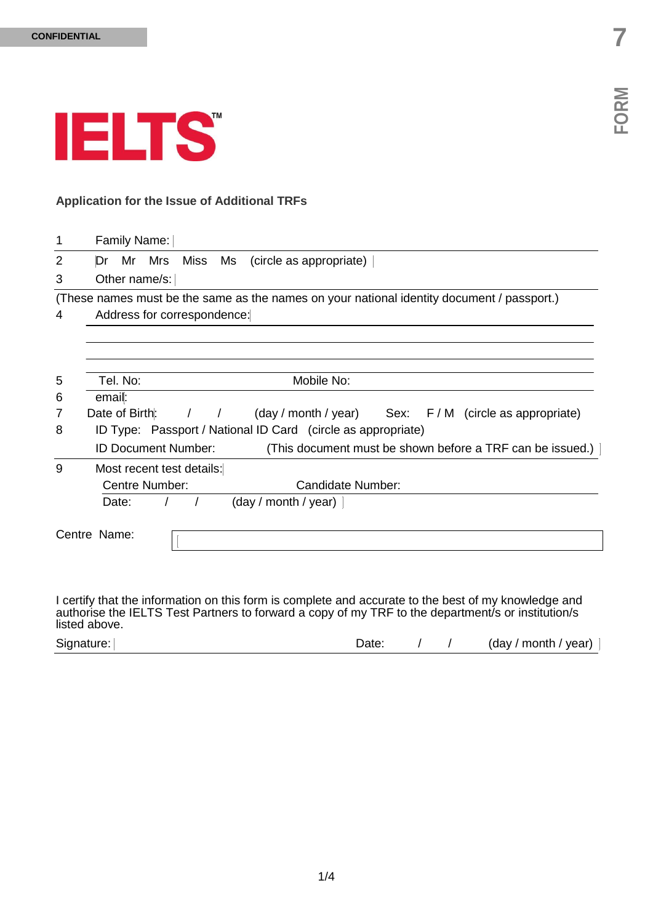

### **Application for the Issue of Additional TRFs**

| 1 | Family Name:                                                                               |
|---|--------------------------------------------------------------------------------------------|
| 2 | Mr Mrs Miss Ms<br>(circle as appropriate)<br>Dr                                            |
| 3 | Other name/s:                                                                              |
|   | (These names must be the same as the names on your national identity document / passport.) |
| 4 | Address for correspondence:                                                                |
|   |                                                                                            |
|   |                                                                                            |
| 5 | Mobile No:<br>Tel. No:                                                                     |
| 6 | email:                                                                                     |
| 7 | Date of Birth: / / (day / month / year) Sex: F / M (circle as appropriate)                 |
| 8 | ID Type: Passport / National ID Card (circle as appropriate)                               |
|   | <b>ID Document Number:</b><br>(This document must be shown before a TRF can be issued.)    |
| 9 | Most recent test details:                                                                  |
|   | Centre Number:<br>Candidate Number:                                                        |
|   | Date:<br>(day / month / year)                                                              |
|   |                                                                                            |
|   | Centre Name:                                                                               |
|   |                                                                                            |
|   |                                                                                            |

I certify that the information on this form is complete and accurate to the best of my knowledge and authorise the IELTS Test Partners to forward a copy of my TRF to the department/s or institution/s listed above.

| Signature: | Jate |  |  | (day / month / year) |
|------------|------|--|--|----------------------|
|------------|------|--|--|----------------------|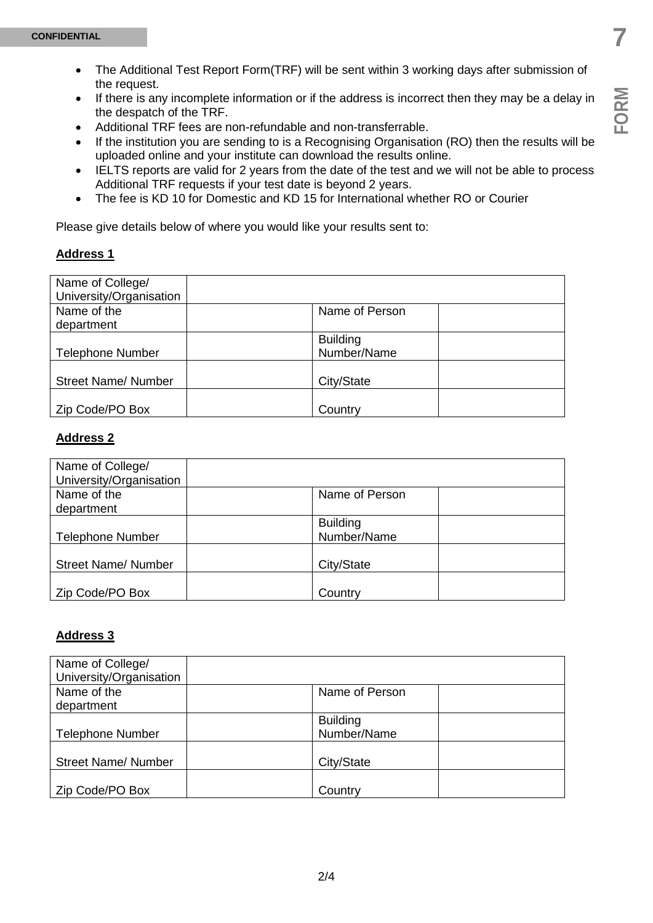**FORM**

- The Additional Test Report Form(TRF) will be sent within 3 working days after submission of the request.
- If there is any incomplete information or if the address is incorrect then they may be a delay in the despatch of the TRF.
- Additional TRF fees are non-refundable and non-transferrable.
- If the institution you are sending to is a Recognising Organisation (RO) then the results will be uploaded online and your institute can download the results online.
- IELTS reports are valid for 2 years from the date of the test and we will not be able to process Additional TRF requests if your test date is beyond 2 years.
- The fee is KD 10 for Domestic and KD 15 for International whether RO or Courier

Please give details below of where you would like your results sent to:

### **Address 1**

| Name of College/           |                 |
|----------------------------|-----------------|
| University/Organisation    |                 |
| Name of the                | Name of Person  |
| department                 |                 |
|                            | <b>Building</b> |
| <b>Telephone Number</b>    | Number/Name     |
|                            |                 |
| <b>Street Name/ Number</b> | City/State      |
|                            |                 |
| Zip Code/PO Box            | Country         |

### **Address 2**

| Name of College/           |                 |
|----------------------------|-----------------|
| University/Organisation    |                 |
| Name of the                | Name of Person  |
| department                 |                 |
|                            | <b>Building</b> |
| <b>Telephone Number</b>    | Number/Name     |
|                            |                 |
| <b>Street Name/ Number</b> | City/State      |
|                            |                 |
| Zip Code/PO Box            | Country         |

#### **Address 3**

| Name of College/           |                 |
|----------------------------|-----------------|
| University/Organisation    |                 |
| Name of the                | Name of Person  |
| department                 |                 |
|                            | <b>Building</b> |
| <b>Telephone Number</b>    | Number/Name     |
|                            |                 |
| <b>Street Name/ Number</b> | City/State      |
|                            |                 |
| Zip Code/PO Box            | Country         |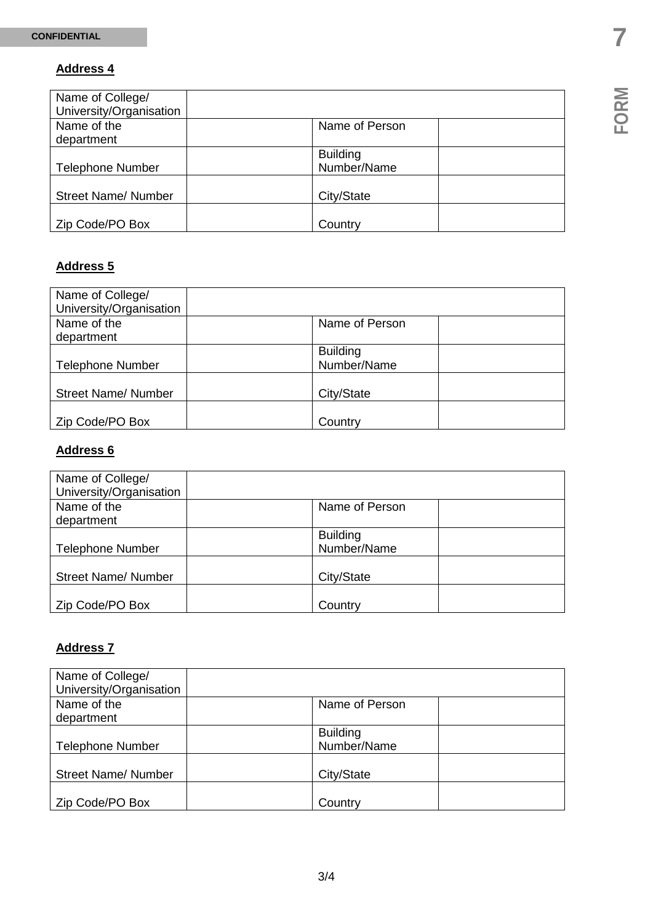# **Address 4**

| Name of College/           |                 |
|----------------------------|-----------------|
| University/Organisation    |                 |
| Name of the                | Name of Person  |
| department                 |                 |
|                            | <b>Building</b> |
| <b>Telephone Number</b>    | Number/Name     |
|                            |                 |
| <b>Street Name/ Number</b> | City/State      |
|                            |                 |
| Zip Code/PO Box            | Country         |

# **Address 5**

| Name of College/<br>University/Organisation |                                |
|---------------------------------------------|--------------------------------|
| Name of the<br>department                   | Name of Person                 |
| <b>Telephone Number</b>                     | <b>Building</b><br>Number/Name |
| <b>Street Name/ Number</b>                  | City/State                     |
| Zip Code/PO Box                             | Country                        |

# **Address 6**

| Name of College/<br>University/Organisation |                                |
|---------------------------------------------|--------------------------------|
| Name of the<br>department                   | Name of Person                 |
| <b>Telephone Number</b>                     | <b>Building</b><br>Number/Name |
| <b>Street Name/ Number</b>                  | City/State                     |
| Zip Code/PO Box                             | Country                        |

### **Address 7**

| Name of College/<br>University/Organisation |                 |
|---------------------------------------------|-----------------|
| Name of the                                 | Name of Person  |
| department                                  |                 |
|                                             | <b>Building</b> |
| <b>Telephone Number</b>                     | Number/Name     |
| <b>Street Name/ Number</b>                  | City/State      |
|                                             |                 |
| Zip Code/PO Box                             | Country         |